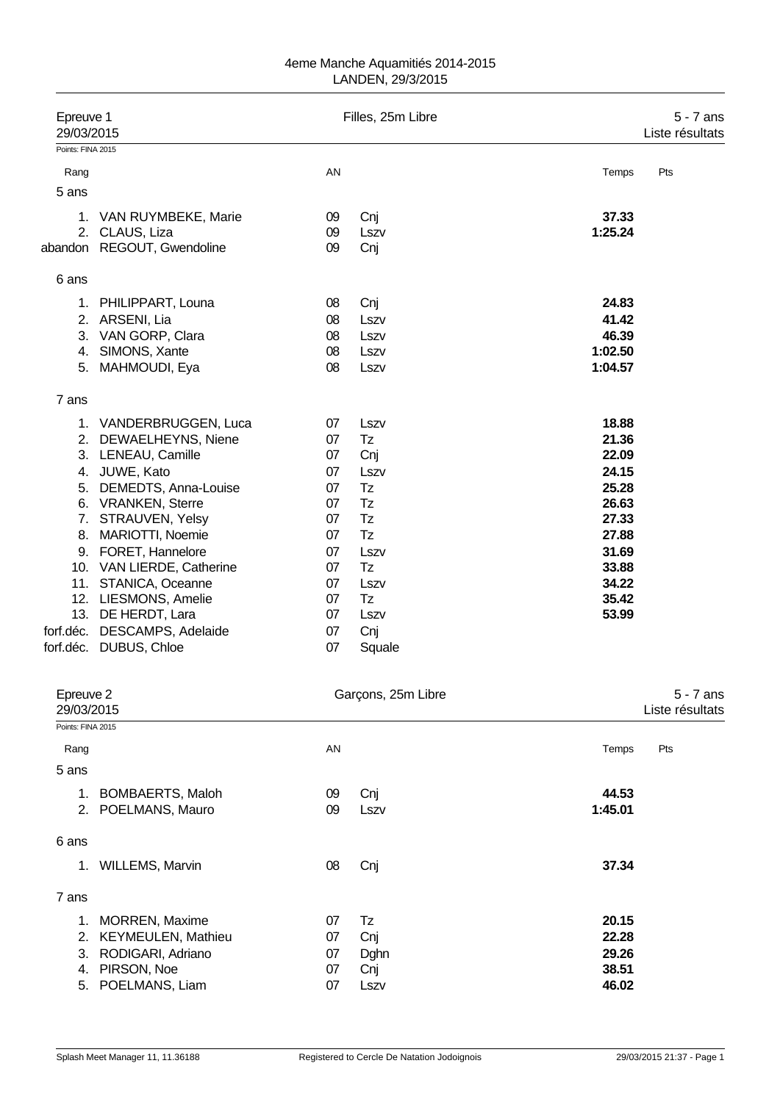| Epreuve 1<br>29/03/2015 |                                          |          | Filles, 25m Libre  | $5 - 7$ ans<br>Liste résultats |                                |  |
|-------------------------|------------------------------------------|----------|--------------------|--------------------------------|--------------------------------|--|
| Points: FINA 2015       |                                          |          |                    |                                |                                |  |
| Rang                    |                                          | AN       |                    | Temps                          | Pts                            |  |
| 5 ans                   |                                          |          |                    |                                |                                |  |
|                         |                                          |          |                    |                                |                                |  |
|                         | 1. VAN RUYMBEKE, Marie<br>2. CLAUS, Liza | 09<br>09 | Cnj<br>Lszv        | 37.33<br>1:25.24               |                                |  |
|                         | abandon REGOUT, Gwendoline               | 09       | Cnj                |                                |                                |  |
| 6 ans                   |                                          |          |                    |                                |                                |  |
|                         | 1. PHILIPPART, Louna                     | 08       | Cnj                | 24.83                          |                                |  |
|                         | 2. ARSENI, Lia                           | 08       | Lszv               | 41.42                          |                                |  |
|                         | 3. VAN GORP, Clara                       | 08       | Lszv               | 46.39                          |                                |  |
|                         | 4. SIMONS, Xante                         | 08       | Lszv               | 1:02.50                        |                                |  |
|                         | 5. MAHMOUDI, Eya                         | 08       | Lszv               | 1:04.57                        |                                |  |
| 7 ans                   |                                          |          |                    |                                |                                |  |
|                         | 1. VANDERBRUGGEN, Luca                   | 07       | Lszv               | 18.88                          |                                |  |
|                         | 2. DEWAELHEYNS, Niene                    | 07       | Tz                 | 21.36                          |                                |  |
|                         | 3. LENEAU, Camille                       | 07       | Cnj                | 22.09                          |                                |  |
|                         | 4. JUWE, Kato                            | 07       | Lszv               | 24.15                          |                                |  |
|                         | 5. DEMEDTS, Anna-Louise                  | 07       | Tz                 | 25.28                          |                                |  |
|                         | 6. VRANKEN, Sterre                       | 07       | Tz                 | 26.63                          |                                |  |
|                         | 7. STRAUVEN, Yelsy                       | 07       | Tz                 | 27.33                          |                                |  |
|                         | 8. MARIOTTI, Noemie                      | 07       | Tz                 | 27.88                          |                                |  |
|                         | 9. FORET, Hannelore                      | 07       | Lszv               | 31.69                          |                                |  |
|                         | 10. VAN LIERDE, Catherine                | 07       | Tz                 | 33.88                          |                                |  |
|                         | 11. STANICA, Oceanne                     | 07       | Lszv               | 34.22                          |                                |  |
|                         | 12. LIESMONS, Amelie                     | 07       | Tz                 | 35.42                          |                                |  |
|                         | 13. DE HERDT, Lara                       | 07       | Lszv               | 53.99                          |                                |  |
| forf.déc.               | DESCAMPS, Adelaide                       | 07       | Cnj                |                                |                                |  |
|                         | forf.déc. DUBUS, Chloe                   | 07       | Squale             |                                |                                |  |
|                         |                                          |          |                    |                                |                                |  |
| Epreuve 2<br>29/03/2015 |                                          |          | Garçons, 25m Libre |                                | $5 - 7$ ans<br>Liste résultats |  |
| Points: FINA 2015       |                                          |          |                    |                                |                                |  |
| Rang                    |                                          | AN       |                    | Temps                          | Pts                            |  |
| 5 ans                   |                                          |          |                    |                                |                                |  |
|                         | 1. BOMBAERTS, Maloh                      | 09       | Cnj                | 44.53                          |                                |  |
|                         | 2. POELMANS, Mauro                       | 09       | Lszv               | 1:45.01                        |                                |  |
| 6 ans                   |                                          |          |                    |                                |                                |  |
|                         | 1. WILLEMS, Marvin                       | 08       | Cnj                | 37.34                          |                                |  |
| 7 ans                   |                                          |          |                    |                                |                                |  |
| 1.                      | MORREN, Maxime                           | 07       | Tz                 | 20.15                          |                                |  |
| 2.                      | <b>KEYMEULEN, Mathieu</b>                | 07       | Cnj                | 22.28                          |                                |  |

5. POELMANS, Liam

3. RODIGARI, Adriano 07 Dghn **29.26** 1. PIRSON, Noe 07 Cnj 28.51 38.51 38.51 38.51 38.51 38.51 38.51 and 2011 12:00 38.51 38.51 38.51 38.51 38.51 and 202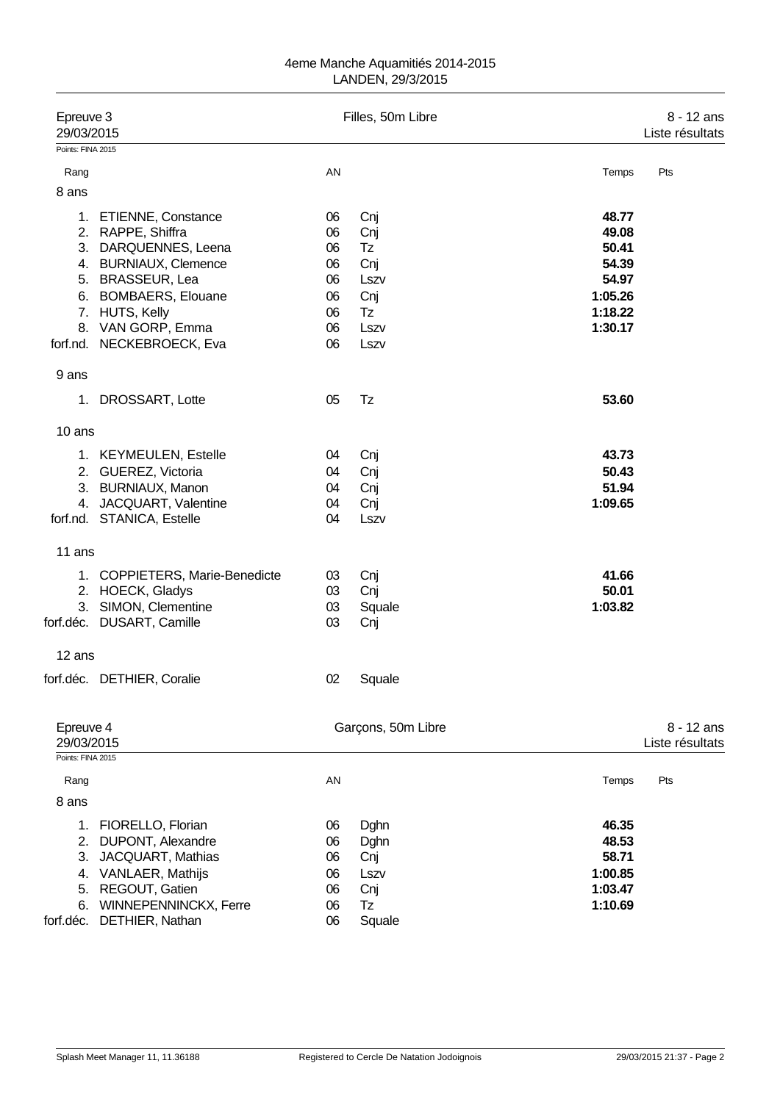| Epreuve 3<br>29/03/2015<br>Points: FINA 2015  |                                                                                                                                               |                                        | Filles, 50m Libre                                  |                                                          | 8 - 12 ans<br>Liste résultats |  |
|-----------------------------------------------|-----------------------------------------------------------------------------------------------------------------------------------------------|----------------------------------------|----------------------------------------------------|----------------------------------------------------------|-------------------------------|--|
|                                               |                                                                                                                                               |                                        |                                                    |                                                          |                               |  |
| Rang                                          |                                                                                                                                               | AN                                     |                                                    | Temps                                                    | Pts                           |  |
| 8 ans                                         |                                                                                                                                               |                                        |                                                    |                                                          |                               |  |
|                                               | 1. ETIENNE, Constance<br>2. RAPPE, Shiffra<br>3. DARQUENNES, Leena<br>4. BURNIAUX, Clemence                                                   | 06<br>06<br>06<br>06                   | Cnj<br>Cnj<br>Tz<br>Cnj                            | 48.77<br>49.08<br>50.41<br>54.39                         |                               |  |
|                                               | 5. BRASSEUR, Lea                                                                                                                              | 06                                     | Lszv                                               | 54.97                                                    |                               |  |
|                                               | 6. BOMBAERS, Elouane<br>7. HUTS, Kelly<br>8. VAN GORP, Emma<br>forf.nd. NECKEBROECK, Eva                                                      | 06<br>06<br>06<br>06                   | Cnj<br>Tz<br>Lszv<br>Lszv                          | 1:05.26<br>1:18.22<br>1:30.17                            |                               |  |
| 9 ans                                         |                                                                                                                                               |                                        |                                                    |                                                          |                               |  |
| 1.                                            | DROSSART, Lotte                                                                                                                               | 05                                     | Tz                                                 | 53.60                                                    |                               |  |
| 10 ans                                        |                                                                                                                                               |                                        |                                                    |                                                          |                               |  |
|                                               | 1. KEYMEULEN, Estelle<br>2. GUEREZ, Victoria<br>3. BURNIAUX, Manon<br>4. JACQUART, Valentine<br>forf.nd. STANICA, Estelle                     | 04<br>04<br>04<br>04<br>04             | Cnj<br>Cnj<br>Cnj<br>Cnj<br>Lszv                   | 43.73<br>50.43<br>51.94<br>1:09.65                       |                               |  |
| 11 ans                                        |                                                                                                                                               |                                        |                                                    |                                                          |                               |  |
| 3.                                            | 1. COPPIETERS, Marie-Benedicte<br>2. HOECK, Gladys<br>SIMON, Clementine<br>forf.déc. DUSART, Camille                                          | 03<br>03<br>03<br>03                   | Cnj<br>Cnj<br>Squale<br>Cnj                        | 41.66<br>50.01<br>1:03.82                                |                               |  |
| 12 ans                                        |                                                                                                                                               |                                        |                                                    |                                                          |                               |  |
|                                               | forf.déc. DETHIER, Coralie                                                                                                                    | 02                                     | Squale                                             |                                                          |                               |  |
| Epreuve 4<br>29/03/2015<br>Points: FINA 2015  |                                                                                                                                               |                                        | Garçons, 50m Libre                                 |                                                          | 8 - 12 ans<br>Liste résultats |  |
| Rang                                          |                                                                                                                                               | AN                                     |                                                    | Temps                                                    | Pts                           |  |
| 8 ans                                         |                                                                                                                                               |                                        |                                                    |                                                          |                               |  |
| 1.<br>2.<br>3.<br>4.<br>5.<br>6.<br>forf.déc. | FIORELLO, Florian<br>DUPONT, Alexandre<br>JACQUART, Mathias<br>VANLAER, Mathijs<br>REGOUT, Gatien<br>WINNEPENNINCKX, Ferre<br>DETHIER, Nathan | 06<br>06<br>06<br>06<br>06<br>06<br>06 | Dghn<br>Dghn<br>Cnj<br>Lszv<br>Cnj<br>Tz<br>Squale | 46.35<br>48.53<br>58.71<br>1:00.85<br>1:03.47<br>1:10.69 |                               |  |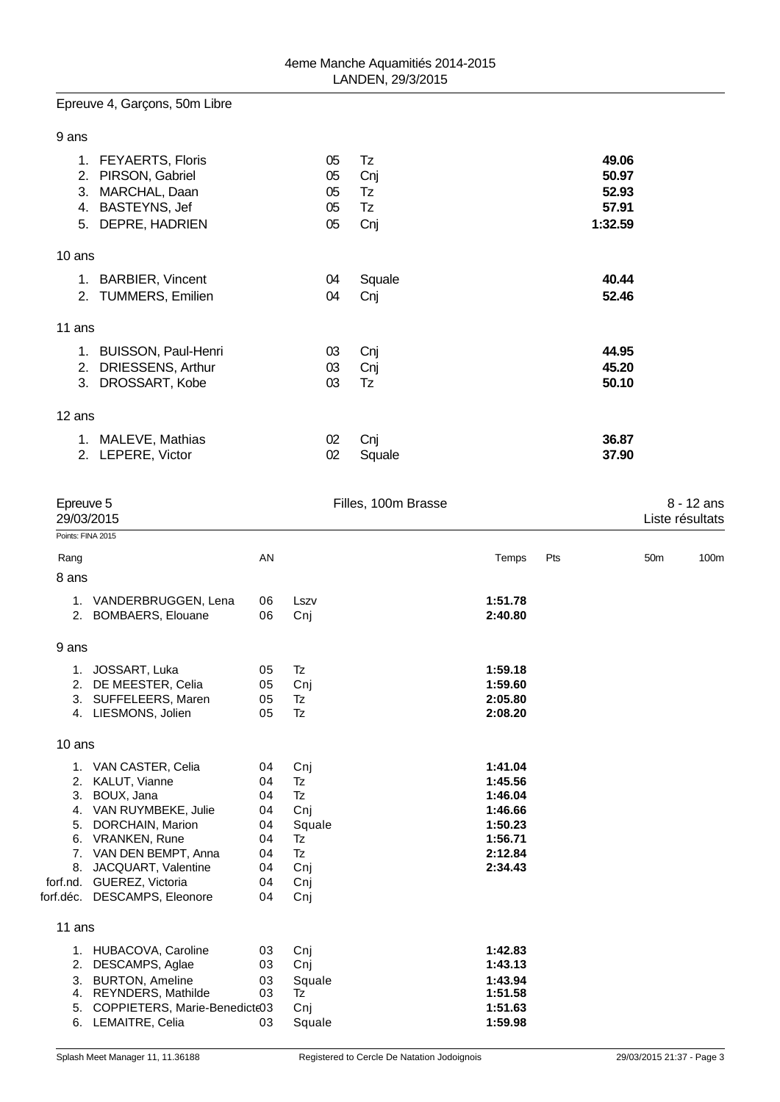# Epreuve 4, Garçons, 50m Libre

| ۰. | ×<br>×<br>٧ |
|----|-------------|
|----|-------------|

| <b>FEYAERTS, Floris</b><br>1.<br>PIRSON, Gabriel<br>2.<br>MARCHAL, Daan<br>3.<br>BASTEYNS, Jef<br>4.<br>DEPRE, HADRIEN<br>5. | 05<br>05<br>05<br>05<br>05 | Tz<br>Cnj<br>Tz<br>Tz<br>Cnj | 49.06<br>50.97<br>52.93<br>57.91<br>1:32.59 |  |
|------------------------------------------------------------------------------------------------------------------------------|----------------------------|------------------------------|---------------------------------------------|--|
| 10 ans                                                                                                                       |                            |                              |                                             |  |
| 1. BARBIER, Vincent                                                                                                          | 04                         | Squale                       | 40.44                                       |  |
| 2. TUMMERS, Emilien                                                                                                          | 04                         | Cnj                          | 52.46                                       |  |
| 11 ans                                                                                                                       |                            |                              |                                             |  |
| <b>BUISSON, Paul-Henri</b><br>1.                                                                                             | 03                         | Cnj                          | 44.95                                       |  |
| DRIESSENS, Arthur<br>2.                                                                                                      | 03                         | Cnj                          | 45.20                                       |  |
| DROSSART, Kobe<br>3.                                                                                                         | 03                         | Tz                           | 50.10                                       |  |
| 12 ans                                                                                                                       |                            |                              |                                             |  |
| 1. MALEVE, Mathias                                                                                                           | 02                         | Cnj                          | 36.87                                       |  |
| 2. LEPERE, Victor                                                                                                            | 02                         | Squale                       | 37.90                                       |  |
|                                                                                                                              |                            |                              |                                             |  |

| Epreuve 5<br>29/03/2015 |                                                                                                                                                                                                                                                 |                                                          | Filles, 100m Brasse                                                      |                                                                                      |     |                 | $8 - 12$ ans<br>Liste résultats |  |
|-------------------------|-------------------------------------------------------------------------------------------------------------------------------------------------------------------------------------------------------------------------------------------------|----------------------------------------------------------|--------------------------------------------------------------------------|--------------------------------------------------------------------------------------|-----|-----------------|---------------------------------|--|
|                         | Points: FINA 2015                                                                                                                                                                                                                               |                                                          |                                                                          |                                                                                      |     |                 |                                 |  |
| Rang                    |                                                                                                                                                                                                                                                 | AN                                                       |                                                                          | Temps                                                                                | Pts | 50 <sub>m</sub> | 100m                            |  |
| 8 ans                   |                                                                                                                                                                                                                                                 |                                                          |                                                                          |                                                                                      |     |                 |                                 |  |
|                         | 1. VANDERBRUGGEN, Lena<br>2. BOMBAERS, Elouane                                                                                                                                                                                                  | 06<br>06                                                 | Lszv<br>Cnj                                                              | 1:51.78<br>2:40.80                                                                   |     |                 |                                 |  |
| 9 ans                   |                                                                                                                                                                                                                                                 |                                                          |                                                                          |                                                                                      |     |                 |                                 |  |
|                         | 1. JOSSART, Luka<br>2. DE MEESTER, Celia<br>3. SUFFELEERS, Maren<br>4. LIESMONS, Jolien                                                                                                                                                         | 05<br>05<br>05<br>05                                     | Tz<br>Cnj<br>Tz<br>Tz                                                    | 1:59.18<br>1:59.60<br>2:05.80<br>2:08.20                                             |     |                 |                                 |  |
| 10 ans                  |                                                                                                                                                                                                                                                 |                                                          |                                                                          |                                                                                      |     |                 |                                 |  |
|                         | 1. VAN CASTER, Celia<br>2. KALUT, Vianne<br>3. BOUX, Jana<br>4. VAN RUYMBEKE, Julie<br>5. DORCHAIN, Marion<br>6. VRANKEN, Rune<br>7. VAN DEN BEMPT, Anna<br>8. JACQUART, Valentine<br>forf.nd. GUEREZ, Victoria<br>forf.déc. DESCAMPS, Eleonore | 04<br>04<br>04<br>04<br>04<br>04<br>04<br>04<br>04<br>04 | Cnj<br><b>Tz</b><br>Tz<br>Cnj<br>Squale<br>Tz<br>Tz<br>Cnj<br>Cnj<br>Cnj | 1:41.04<br>1:45.56<br>1:46.04<br>1:46.66<br>1:50.23<br>1:56.71<br>2:12.84<br>2:34.43 |     |                 |                                 |  |
| 11 ans                  |                                                                                                                                                                                                                                                 |                                                          |                                                                          |                                                                                      |     |                 |                                 |  |
| 2.<br>3.<br>5.          | 1. HUBACOVA, Caroline<br>DESCAMPS, Aglae<br><b>BURTON, Ameline</b><br>4. REYNDERS, Mathilde<br>COPPIETERS, Marie-Benedicte03<br>6. LEMAITRE, Celia                                                                                              | 03<br>03<br>03<br>03<br>03                               | Cnj<br>Cnj<br>Squale<br>Tz<br>Cnj<br>Squale                              | 1:42.83<br>1:43.13<br>1:43.94<br>1:51.58<br>1:51.63<br>1:59.98                       |     |                 |                                 |  |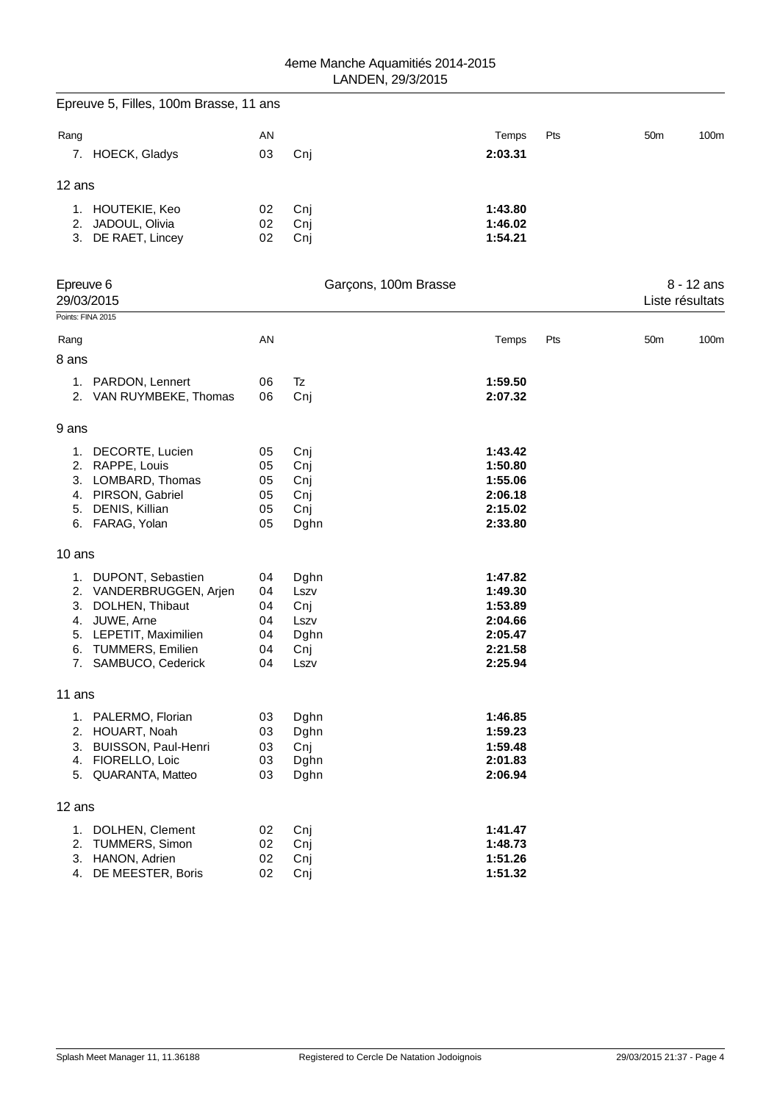|                   | Epreuve 5, Filles, 100m Brasse, 11 ans       |          |                      |                    |     |                 |              |
|-------------------|----------------------------------------------|----------|----------------------|--------------------|-----|-----------------|--------------|
| Rang              |                                              | AN       |                      | Temps              | Pts | 50 <sub>m</sub> | 100m         |
|                   | 7. HOECK, Gladys                             | 03       | Cnj                  | 2:03.31            |     |                 |              |
| 12 ans            |                                              |          |                      |                    |     |                 |              |
|                   | 1. HOUTEKIE, Keo                             | 02       | Cnj                  | 1:43.80            |     |                 |              |
|                   | 2. JADOUL, Olivia                            | 02       | Cnj                  | 1:46.02            |     |                 |              |
|                   | 3. DE RAET, Lincey                           | 02       | Cnj                  | 1:54.21            |     |                 |              |
| Epreuve 6         |                                              |          | Garçons, 100m Brasse |                    |     |                 | $8 - 12$ ans |
|                   | 29/03/2015                                   |          |                      |                    |     | Liste résultats |              |
| Points: FINA 2015 |                                              |          |                      |                    |     |                 |              |
| Rang<br>8 ans     |                                              | AN       |                      | Temps              | Pts | 50 <sub>m</sub> | 100m         |
|                   | 1. PARDON, Lennert                           | 06       | Tz                   | 1:59.50            |     |                 |              |
|                   | 2. VAN RUYMBEKE, Thomas                      | 06       | Cnj                  | 2:07.32            |     |                 |              |
| 9 ans             |                                              |          |                      |                    |     |                 |              |
|                   | 1. DECORTE, Lucien                           | 05       | Cnj                  | 1:43.42            |     |                 |              |
|                   | 2. RAPPE, Louis                              | 05       | Cnj                  | 1:50.80            |     |                 |              |
|                   | 3. LOMBARD, Thomas                           | 05       | Cnj                  | 1:55.06            |     |                 |              |
|                   | 4. PIRSON, Gabriel                           | 05       | Cnj                  | 2:06.18            |     |                 |              |
| 5.                | DENIS, Killian                               | 05       | Cnj                  | 2:15.02            |     |                 |              |
|                   | 6. FARAG, Yolan                              | 05       | Dghn                 | 2:33.80            |     |                 |              |
| 10 ans            |                                              |          |                      |                    |     |                 |              |
|                   | 1. DUPONT, Sebastien                         | 04       | Dghn                 | 1:47.82            |     |                 |              |
|                   | 2. VANDERBRUGGEN, Arjen                      | 04       | Lszv                 | 1:49.30            |     |                 |              |
| 3.                | DOLHEN, Thibaut                              | 04       | Cnj                  | 1:53.89            |     |                 |              |
| 4.                | JUWE, Arne                                   | 04       | Lszv                 | 2:04.66            |     |                 |              |
| 5.                | LEPETIT, Maximilien                          | 04       | Dghn                 | 2:05.47            |     |                 |              |
| 6.<br>7.          | <b>TUMMERS, Emilien</b><br>SAMBUCO, Cederick | 04<br>04 | Cnj<br>Lszv          | 2:21.58<br>2:25.94 |     |                 |              |
|                   |                                              |          |                      |                    |     |                 |              |
| 11 ans            |                                              |          |                      |                    |     |                 |              |
|                   | 1. PALERMO, Florian                          | 03       | Dghn                 | 1:46.85            |     |                 |              |
| 2.                | HOUART, Noah                                 | 03       | Dghn                 | 1:59.23            |     |                 |              |
| 3.                | BUISSON, Paul-Henri                          | 03       | Cnj                  | 1:59.48            |     |                 |              |
| 4.<br>5.          | FIORELLO, Loic<br>QUARANTA, Matteo           | 03<br>03 | Dghn<br>Dghn         | 2:01.83<br>2:06.94 |     |                 |              |
| 12 ans            |                                              |          |                      |                    |     |                 |              |
|                   |                                              |          |                      |                    |     |                 |              |
| 2.                | 1. DOLHEN, Clement<br><b>TUMMERS, Simon</b>  | 02       | Cnj                  | 1:41.47            |     |                 |              |
| 3.                | HANON, Adrien                                | 02<br>02 | Cnj<br>Cnj           | 1:48.73<br>1:51.26 |     |                 |              |
| 4.                | DE MEESTER, Boris                            | 02       | Cnj                  | 1:51.32            |     |                 |              |
|                   |                                              |          |                      |                    |     |                 |              |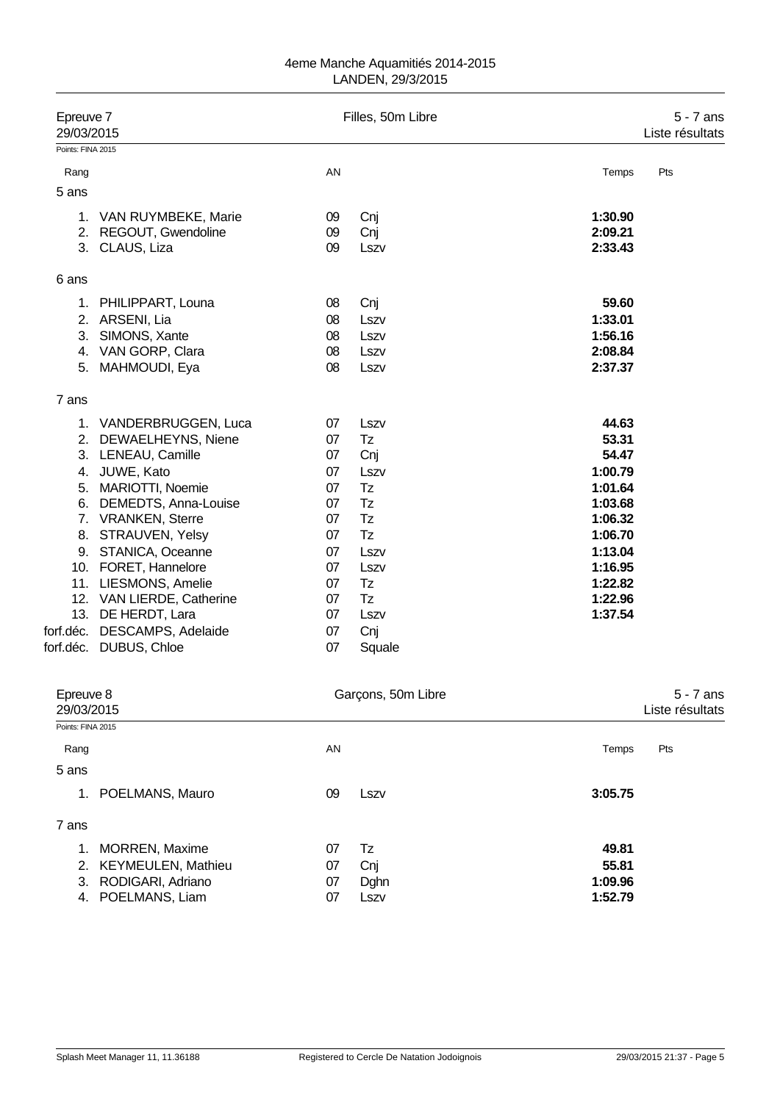|                         | Epreuve 7<br>29/03/2015                 |          | Filles, 50m Libre  |                    | $5 - 7$ ans<br>Liste résultats |
|-------------------------|-----------------------------------------|----------|--------------------|--------------------|--------------------------------|
| Points: FINA 2015       |                                         |          |                    |                    |                                |
| Rang                    |                                         | AN       |                    | Temps              | Pts                            |
| 5 ans                   |                                         |          |                    |                    |                                |
|                         |                                         |          |                    |                    |                                |
|                         | 1. VAN RUYMBEKE, Marie                  | 09       | Cnj                | 1:30.90<br>2:09.21 |                                |
|                         | 2. REGOUT, Gwendoline<br>3. CLAUS, Liza | 09<br>09 | Cnj                | 2:33.43            |                                |
|                         |                                         |          | Lszv               |                    |                                |
| 6 ans                   |                                         |          |                    |                    |                                |
|                         | 1. PHILIPPART, Louna                    | 08       | Cnj                | 59.60              |                                |
|                         | 2. ARSENI, Lia                          | 08       | Lszv               | 1:33.01            |                                |
| 3.                      | SIMONS, Xante                           | 08       | Lszv               | 1:56.16            |                                |
|                         | 4. VAN GORP, Clara                      | 08       | Lszv               | 2:08.84            |                                |
|                         | 5. MAHMOUDI, Eya                        | 08       | Lszv               | 2:37.37            |                                |
| 7 ans                   |                                         |          |                    |                    |                                |
|                         | 1. VANDERBRUGGEN, Luca                  | 07       | Lszv               | 44.63              |                                |
|                         | 2. DEWAELHEYNS, Niene                   | 07       | Tz                 | 53.31              |                                |
|                         | 3. LENEAU, Camille                      | 07       | Cnj                | 54.47              |                                |
|                         | 4. JUWE, Kato                           | 07       | Lszv               | 1:00.79            |                                |
|                         | 5. MARIOTTI, Noemie                     | 07       | Tz                 | 1:01.64            |                                |
|                         | 6. DEMEDTS, Anna-Louise                 | 07       | Tz                 | 1:03.68            |                                |
|                         | 7. VRANKEN, Sterre                      | 07       | Tz                 | 1:06.32            |                                |
|                         | 8. STRAUVEN, Yelsy                      | 07       | Tz                 | 1:06.70            |                                |
|                         | 9. STANICA, Oceanne                     | 07       | Lszv               | 1:13.04            |                                |
|                         | 10. FORET, Hannelore                    | 07       | Lszv               | 1:16.95            |                                |
|                         | 11. LIESMONS, Amelie                    | 07       | Tz                 | 1:22.82            |                                |
|                         | 12. VAN LIERDE, Catherine               | 07       | Tz                 | 1:22.96            |                                |
|                         | 13. DE HERDT, Lara                      | 07       | Lszv               | 1:37.54            |                                |
|                         | forf.déc. DESCAMPS, Adelaide            | 07       | Cnj                |                    |                                |
|                         | forf.déc. DUBUS, Chloe                  | 07       | Squale             |                    |                                |
|                         |                                         |          |                    |                    |                                |
| Epreuve 8<br>29/03/2015 |                                         |          | Garçons, 50m Libre |                    | $5 - 7$ ans<br>Liste résultats |
| Points: FINA 2015       |                                         |          |                    |                    |                                |
| Rang                    |                                         | AN       |                    | Temps              | Pts                            |
| 5 ans                   |                                         |          |                    |                    |                                |
| 1.                      | POELMANS, Mauro                         | 09       | Lszv               | 3:05.75            |                                |
| 7 ans                   |                                         |          |                    |                    |                                |

| 1. MORREN, Maxime     | $07 \quad Tz$ |       | 49.81   |
|-----------------------|---------------|-------|---------|
| 2. KEYMEULEN, Mathieu | 07            | - Cni | 55.81   |
| 3. RODIGARI, Adriano  | 07            | Dahn  | 1:09.96 |
| 4. POELMANS, Liam     | 07            | LSZV  | 1:52.79 |
|                       |               |       |         |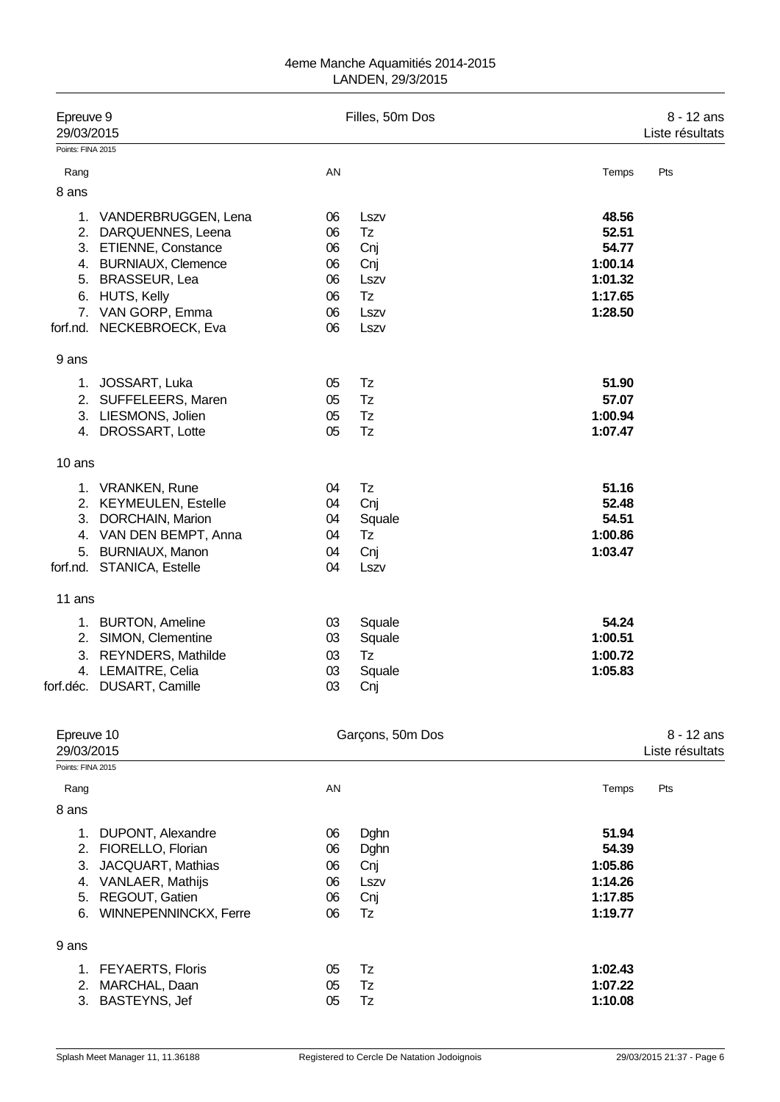| Epreuve 9<br>29/03/2015    |                                                                                                                                                                                           |                                              | Filles, 50m Dos                                        | 8 - 12 ans<br>Liste résultats                                       |                               |  |
|----------------------------|-------------------------------------------------------------------------------------------------------------------------------------------------------------------------------------------|----------------------------------------------|--------------------------------------------------------|---------------------------------------------------------------------|-------------------------------|--|
| Points: FINA 2015          |                                                                                                                                                                                           |                                              |                                                        |                                                                     |                               |  |
| Rang                       |                                                                                                                                                                                           | AN                                           |                                                        | Temps                                                               | Pts                           |  |
| 8 ans                      |                                                                                                                                                                                           |                                              |                                                        |                                                                     |                               |  |
| 1.<br>6.                   | VANDERBRUGGEN, Lena<br>2. DARQUENNES, Leena<br>3. ETIENNE, Constance<br>4. BURNIAUX, Clemence<br>5. BRASSEUR, Lea<br><b>HUTS, Kelly</b><br>7. VAN GORP, Emma<br>forf.nd. NECKEBROECK, Eva | 06<br>06<br>06<br>06<br>06<br>06<br>06<br>06 | Lszv<br>Tz<br>Cnj<br>Cnj<br>Lszv<br>Tz<br>Lszv<br>Lszv | 48.56<br>52.51<br>54.77<br>1:00.14<br>1:01.32<br>1:17.65<br>1:28.50 |                               |  |
| 9 ans                      |                                                                                                                                                                                           |                                              |                                                        |                                                                     |                               |  |
| 1.<br>2.<br>3.<br>4.       | JOSSART, Luka<br>SUFFELEERS, Maren<br>LIESMONS, Jolien<br>DROSSART, Lotte                                                                                                                 | 05<br>05<br>05<br>05                         | Tz<br>Tz<br>Tz<br>Tz                                   | 51.90<br>57.07<br>1:00.94<br>1:07.47                                |                               |  |
| 10 ans                     |                                                                                                                                                                                           |                                              |                                                        |                                                                     |                               |  |
| 3.<br>5.                   | 1. VRANKEN, Rune<br>2. KEYMEULEN, Estelle<br>DORCHAIN, Marion<br>4. VAN DEN BEMPT, Anna<br><b>BURNIAUX, Manon</b><br>forf.nd. STANICA, Estelle                                            | 04<br>04<br>04<br>04<br>04<br>04             | Tz<br>Cnj<br>Squale<br>Tz<br>Cnj<br>Lszv               | 51.16<br>52.48<br>54.51<br>1:00.86<br>1:03.47                       |                               |  |
| 11 ans                     |                                                                                                                                                                                           |                                              |                                                        |                                                                     |                               |  |
| 2.<br>3.                   | 1. BURTON, Ameline<br>SIMON, Clementine<br>REYNDERS, Mathilde<br>4. LEMAITRE, Celia<br>forf.déc. DUSART, Camille                                                                          | 03<br>03<br>03<br>03<br>03                   | Squale<br>Squale<br>Tz<br>Squale<br>Cnj                | 54.24<br>1:00.51<br>1:00.72<br>1:05.83                              |                               |  |
| Epreuve 10<br>29/03/2015   |                                                                                                                                                                                           |                                              | Garçons, 50m Dos                                       |                                                                     | 8 - 12 ans<br>Liste résultats |  |
| Points: FINA 2015          |                                                                                                                                                                                           |                                              |                                                        |                                                                     |                               |  |
| Rang<br>8 ans              |                                                                                                                                                                                           | AN                                           |                                                        | Temps                                                               | Pts                           |  |
| 2.<br>3.<br>4.<br>5.<br>6. | 1. DUPONT, Alexandre<br>FIORELLO, Florian<br>JACQUART, Mathias<br>VANLAER, Mathijs<br>REGOUT, Gatien<br>WINNEPENNINCKX, Ferre                                                             | 06<br>06<br>06<br>06<br>06<br>06             | Dghn<br>Dghn<br>Cnj<br>Lszv<br>Cnj<br>Tz               | 51.94<br>54.39<br>1:05.86<br>1:14.26<br>1:17.85<br>1:19.77          |                               |  |
| 9 ans                      |                                                                                                                                                                                           |                                              |                                                        |                                                                     |                               |  |
| 1.<br>2.                   | <b>FEYAERTS, Floris</b><br>MARCHAL, Daan<br>3. BASTEYNS, Jef                                                                                                                              | 05<br>05<br>05                               | Tz<br>Tz<br>Tz                                         | 1:02.43<br>1:07.22<br>1:10.08                                       |                               |  |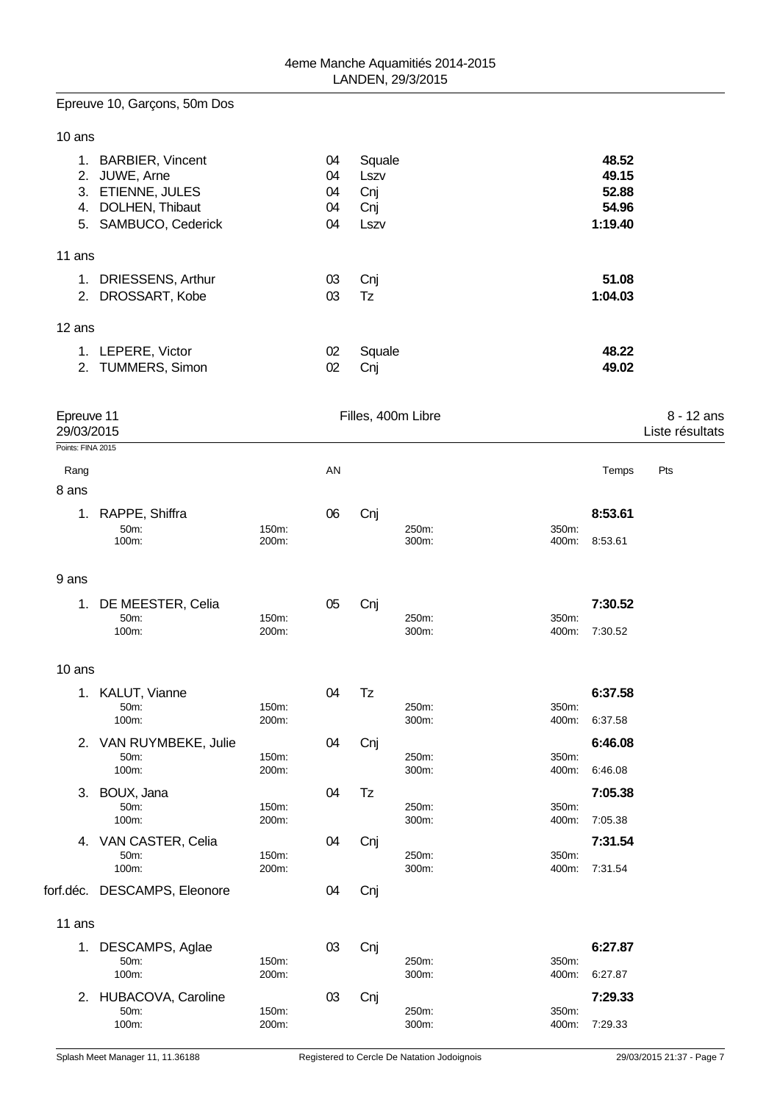# Epreuve 10, Garçons, 50m Dos

|        | 1. BARBIER, Vincent<br>2. JUWE, Arne<br>3. ETIENNE, JULES<br>4. DOLHEN, Thibaut<br>5. SAMBUCO, Cederick | 04<br>04<br>04<br>04<br>04 | Squale<br>Lszv<br>Cnj<br>Cnj<br>Lszv | 48.52<br>49.15<br>52.88<br>54.96<br>1:19.40 |
|--------|---------------------------------------------------------------------------------------------------------|----------------------------|--------------------------------------|---------------------------------------------|
| 11 ans |                                                                                                         |                            |                                      |                                             |
|        | 1. DRIESSENS, Arthur                                                                                    | 03                         | Cni                                  | 51.08                                       |
|        | 2. DROSSART, Kobe                                                                                       | 03                         | Tz                                   | 1:04.03                                     |
| 12 ans |                                                                                                         |                            |                                      |                                             |
|        | 1. LEPERE, Victor                                                                                       | 02                         | Squale                               | 48.22                                       |
|        | 2. TUMMERS, Simon                                                                                       | 02                         | Cnj                                  | 49.02                                       |

| Epreuve 11<br>29/03/2015 |                              |                | Filles, 400m Libre |     |                |                |         | 8 - 12 ans<br>Liste résultats |  |
|--------------------------|------------------------------|----------------|--------------------|-----|----------------|----------------|---------|-------------------------------|--|
| Points: FINA 2015        |                              |                |                    |     |                |                |         |                               |  |
| Rang                     |                              |                | AN                 |     |                |                | Temps   | Pts                           |  |
| 8 ans                    |                              |                |                    |     |                |                |         |                               |  |
| 1.                       | RAPPE, Shiffra               |                | 06                 | Cnj |                |                | 8:53.61 |                               |  |
|                          | 50m:                         | 150m:          |                    |     | 250m:          | 350m:          |         |                               |  |
|                          | 100m:                        | 200m:          |                    |     | 300m:          | 400m:          | 8:53.61 |                               |  |
| 9 ans                    |                              |                |                    |     |                |                |         |                               |  |
| 1.                       | DE MEESTER, Celia            |                | 05                 | Cnj |                |                | 7:30.52 |                               |  |
|                          | 50m:                         | 150m:          |                    |     | 250m:          | 350m:          |         |                               |  |
|                          | 100m:                        | 200m:          |                    |     | 300m:          | 400m:          | 7:30.52 |                               |  |
| 10 ans                   |                              |                |                    |     |                |                |         |                               |  |
|                          | 1. KALUT, Vianne             |                | 04                 | Tz  |                |                | 6:37.58 |                               |  |
|                          | 50m:                         | 150m:          |                    |     | 250m:          | 350m:          |         |                               |  |
|                          | 100m:                        | 200m:          |                    |     | 300m:          | 400m:          | 6:37.58 |                               |  |
|                          | 2. VAN RUYMBEKE, Julie       |                | 04                 | Cnj |                |                | 6:46.08 |                               |  |
|                          | 50m:<br>100m:                | 150m:<br>200m: |                    |     | 250m:<br>300m: | 350m:<br>400m: | 6:46.08 |                               |  |
|                          |                              |                |                    |     |                |                |         |                               |  |
|                          | 3. BOUX, Jana<br>50m:        | 150m:          | 04                 | Tz  | 250m:          | 350m:          | 7:05.38 |                               |  |
|                          | 100m:                        | 200m:          |                    |     | 300m:          | 400m:          | 7:05.38 |                               |  |
|                          | 4. VAN CASTER, Celia         |                | 04                 | Cnj |                |                | 7:31.54 |                               |  |
|                          | 50m:                         | 150m:          |                    |     | 250m:          | 350m:          |         |                               |  |
|                          | 100m:                        | 200m:          |                    |     | 300m:          | 400m:          | 7:31.54 |                               |  |
|                          | forf.déc. DESCAMPS, Eleonore |                | 04                 | Cnj |                |                |         |                               |  |
| 11 ans                   |                              |                |                    |     |                |                |         |                               |  |
| 1.                       | DESCAMPS, Aglae              |                | 03                 | Cnj |                |                | 6:27.87 |                               |  |
|                          | 50m:                         | 150m:          |                    |     | 250m:          | 350m:          |         |                               |  |
|                          | 100m:                        | 200m:          |                    |     | 300m:          | 400m:          | 6:27.87 |                               |  |
|                          | 2. HUBACOVA, Caroline        |                | 03                 | Cnj |                |                | 7:29.33 |                               |  |
|                          | 50m:<br>100m:                | 150m:<br>200m: |                    |     | 250m:<br>300m: | 350m:<br>400m: | 7:29.33 |                               |  |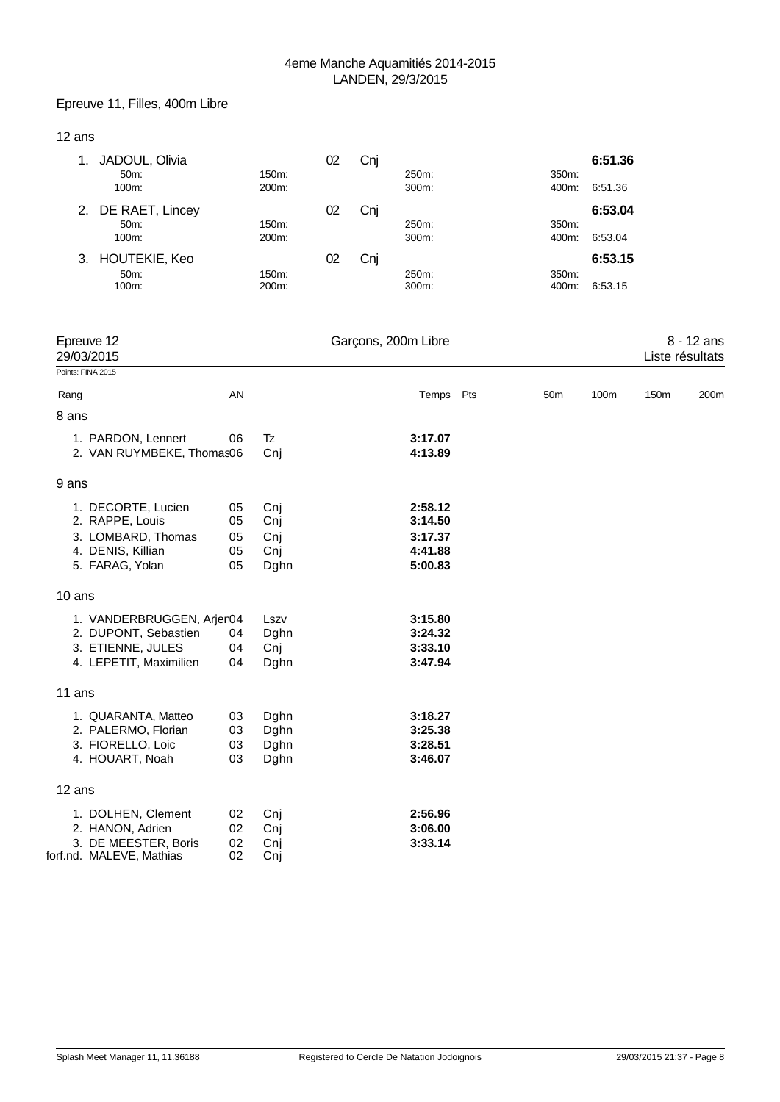# Epreuve 11, Filles, 400m Libre

## 12 ans

| JADOUL, Olivia<br>50m:<br>100m:      | 150m:<br>200m: | 02 | Cni | 250m:<br>300m: | 350m:<br>400m: | 6:51.36<br>6:51.36 |
|--------------------------------------|----------------|----|-----|----------------|----------------|--------------------|
| 2. DE RAET, Lincey<br>50m:<br>100m:  | 150m:<br>200m: | 02 | Cni | 250m:<br>300m: | 350m:<br>400m: | 6:53.04<br>6:53.04 |
| 3. HOUTEKIE, Keo<br>$50m$ :<br>100m: | 150m:<br>200m: | 02 | Cni | 250m:<br>300m: | 350m:<br>400m: | 6:53.15<br>6:53.15 |

|        | Epreuve 12<br>29/03/2015  |    |      | Garçons, 200m Libre |                 |      | Liste résultats | 8 - 12 ans |
|--------|---------------------------|----|------|---------------------|-----------------|------|-----------------|------------|
|        | Points: FINA 2015         |    |      |                     |                 |      |                 |            |
| Rang   |                           | AN |      | Temps Pts           | 50 <sub>m</sub> | 100m | 150m            | 200m       |
| 8 ans  |                           |    |      |                     |                 |      |                 |            |
|        | 1. PARDON, Lennert        | 06 | Tz   | 3:17.07             |                 |      |                 |            |
|        | 2. VAN RUYMBEKE, Thomas06 |    | Cnj  | 4:13.89             |                 |      |                 |            |
| 9 ans  |                           |    |      |                     |                 |      |                 |            |
|        | 1. DECORTE, Lucien        | 05 | Cnj  | 2:58.12             |                 |      |                 |            |
|        | 2. RAPPE, Louis           | 05 | Cnj  | 3:14.50             |                 |      |                 |            |
|        | 3. LOMBARD, Thomas        | 05 | Cnj  | 3:17.37             |                 |      |                 |            |
|        | 4. DENIS, Killian         | 05 | Cnj  | 4:41.88             |                 |      |                 |            |
|        | 5. FARAG, Yolan           | 05 | Dghn | 5:00.83             |                 |      |                 |            |
| 10 ans |                           |    |      |                     |                 |      |                 |            |
|        | 1. VANDERBRUGGEN, Arjer04 |    | Lszv | 3:15.80             |                 |      |                 |            |
|        | 2. DUPONT, Sebastien      | 04 | Dghn | 3:24.32             |                 |      |                 |            |
|        | 3. ETIENNE, JULES         | 04 | Cnj  | 3:33.10             |                 |      |                 |            |
|        | 4. LEPETIT, Maximilien    | 04 | Dghn | 3:47.94             |                 |      |                 |            |
| 11 ans |                           |    |      |                     |                 |      |                 |            |
|        | 1. QUARANTA, Matteo       | 03 | Dghn | 3:18.27             |                 |      |                 |            |
|        | 2. PALERMO, Florian       | 03 | Dghn | 3:25.38             |                 |      |                 |            |
|        | 3. FIORELLO, Loic         | 03 | Dghn | 3:28.51             |                 |      |                 |            |
|        | 4. HOUART, Noah           | 03 | Dghn | 3:46.07             |                 |      |                 |            |
| 12 ans |                           |    |      |                     |                 |      |                 |            |
|        | 1. DOLHEN, Clement        | 02 | Cnj  | 2:56.96             |                 |      |                 |            |
|        | 2. HANON, Adrien          | 02 | Cnj  | 3:06.00             |                 |      |                 |            |
|        | 3. DE MEESTER, Boris      | 02 | Cnj  | 3:33.14             |                 |      |                 |            |
|        | forf.nd. MALEVE, Mathias  | 02 | Cnj  |                     |                 |      |                 |            |